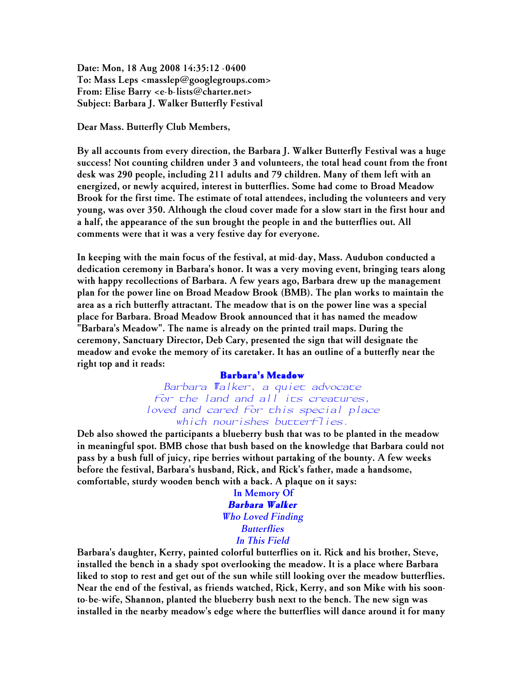Date: Mon, 18 Aug 2008 14:35:12 -0400 To: Mass Leps <masslep@googlegroups.com> From: Elise Barry <e-b-lists@charter.net> Subject: Barbara J. Walker Butterfly Festival

Dear Mass. Butterfly Club Members,

By all accounts from every direction, the Barbara J. Walker Butterfly Festival was a huge success! Not counting children under 3 and volunteers, the total head count from the front desk was 290 people, including 211 adults and 79 children. Many of them left with an energized, or newly acquired, interest in butterflies. Some had come to Broad Meadow Brook for the first time. The estimate of total attendees, including the volunteers and very young, was over 350. Although the cloud cover made for a slow start in the first hour and a half, the appearance of the sun brought the people in and the butterflies out. All comments were that it was a very festive day for everyone.

In keeping with the main focus of the festival, at mid-day, Mass. Audubon conducted a dedication ceremony in Barbara's honor. It was a very moving event, bringing tears along with happy recollections of Barbara. A few years ago, Barbara drew up the management plan for the power line on Broad Meadow Brook (BMB). The plan works to maintain the area as a rich butterfly attractant. The meadow that is on the power line was a special place for Barbara. Broad Meadow Brook announced that it has named the meadow "Barbara's Meadow". The name is already on the printed trail maps. During the ceremony, Sanctuary Director, Deb Cary, presented the sign that will designate the meadow and evoke the memory of its caretaker. It has an outline of a butterfly near the right top and it reads:

## **Barbara's Meadow**

*Barbara Walker, a quiet advocate for the land and all its creatures, loved and cared for this special place which nourishes butterflies.*

Deb also showed the participants a blueberry bush that was to be planted in the meadow in meaningful spot. BMB chose that bush based on the knowledge that Barbara could not pass by a bush full of juicy, ripe berries without partaking of the bounty. A few weeks before the festival, Barbara's husband, Rick, and Rick's father, made a handsome, comfortable, sturdy wooden bench with a back. A plaque on it says:

> In Memory Of *Barbara Walker Who Loved Finding Butterflies In This Field*

Barbara's daughter, Kerry, painted colorful butterflies on it. Rick and his brother, Steve, installed the bench in a shady spot overlooking the meadow. It is a place where Barbara liked to stop to rest and get out of the sun while still looking over the meadow butterflies. Near the end of the festival, as friends watched, Rick, Kerry, and son Mike with his soonto-be-wife, Shannon, planted the blueberry bush next to the bench. The new sign was installed in the nearby meadow's edge where the butterflies will dance around it for many